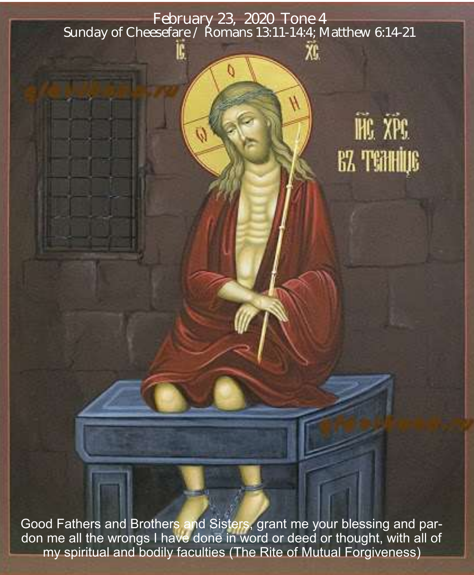February 23, 2020 Tone 4 Sunday of Cheesefare / Romans 13:11-14:4; Matthew 6:14-21

Ŵ

# HG XPG **BZ TENHIUS**

Good Fathers and Brothers and Sisters, grant me your blessing and pardon me all the wrongs I have done in word or deed or thought, with all of my spiritual and bodily faculties (The Rite of Mutual Forgiveness)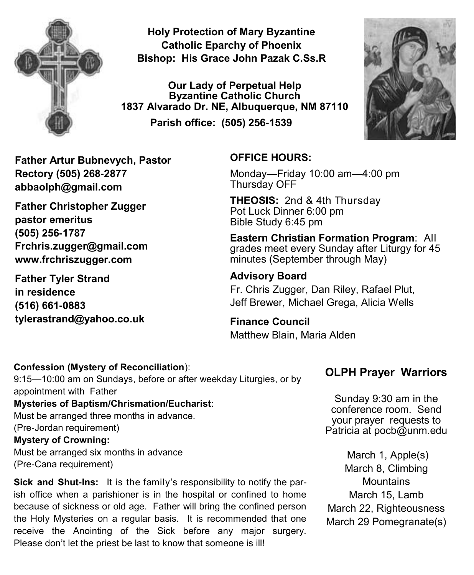

**Holy Protection of Mary Byzantine Catholic Eparchy of Phoenix Bishop: His Grace John Pazak C.Ss.R**

**Our Lady of Perpetual Help Byzantine Catholic Church 1837 Alvarado Dr. NE, Albuquerque, NM 87110 Parish office: (505) 256-1539**



**Father Artur Bubnevych, Pastor Rectory (505) 268-2877 abbaolph@gmail.com** 

**Father Christopher Zugger pastor emeritus (505) 256-1787 Frchris.zugger@gmail.com www.frchriszugger.com** 

**Father Tyler Strand in residence (516) 661-0883 tylerastrand@yahoo.co.uk**

#### **OFFICE HOURS:**

Monday—Friday 10:00 am—4:00 pm Thursday OFF

**THEOSIS:** 2nd & 4th Thursday Pot Luck Dinner 6:00 pm Bible Study 6:45 pm

**Eastern Christian Formation Program**: All grades meet every Sunday after Liturgy for 45 minutes (September through May)

#### **Advisory Board**

Fr. Chris Zugger, Dan Riley, Rafael Plut, Jeff Brewer, Michael Grega, Alicia Wells

**Finance Council**  Matthew Blain, Maria Alden

#### **Confession (Mystery of Reconciliation**):

9:15—10:00 am on Sundays, before or after weekday Liturgies, or by appointment with Father

**Mysteries of Baptism/Chrismation/Eucharist**:

Must be arranged three months in advance. (Pre-Jordan requirement) **Mystery of Crowning:** 

Must be arranged six months in advance (Pre-Cana requirement)

**Sick and Shut-Ins:** It is the family's responsibility to notify the parish office when a parishioner is in the hospital or confined to home because of sickness or old age. Father will bring the confined person the Holy Mysteries on a regular basis. It is recommended that one receive the Anointing of the Sick before any major surgery. Please don't let the priest be last to know that someone is ill!

### **OLPH Prayer Warriors**

Sunday 9:30 am in the conference room. Send your prayer requests to Patricia at pocb@unm.edu

March 1, Apple(s) March 8, Climbing **Mountains** March 15, Lamb March 22, Righteousness March 29 Pomegranate(s)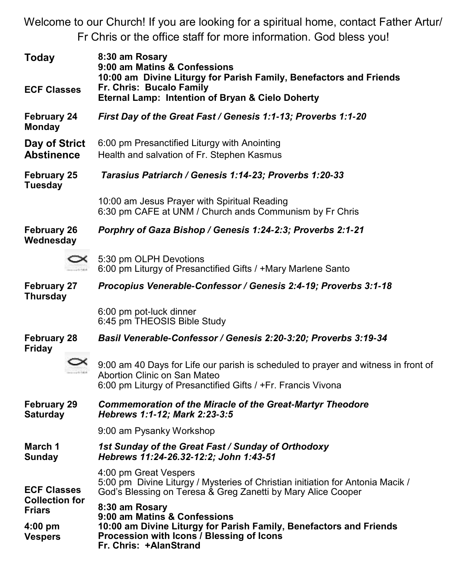Welcome to our Church! If you are looking for a spiritual home, contact Father Artur/ Fr Chris or the office staff for more information. God bless you!

| Today<br><b>ECF Classes</b>                                                                 |  | 8:30 am Rosary<br>9:00 am Matins & Confessions<br>10:00 am Divine Liturgy for Parish Family, Benefactors and Friends<br>Fr. Chris: Bucalo Family<br>Eternal Lamp: Intention of Bryan & Cielo Doherty |  |  |
|---------------------------------------------------------------------------------------------|--|------------------------------------------------------------------------------------------------------------------------------------------------------------------------------------------------------|--|--|
| <b>February 24</b><br>Monday                                                                |  | First Day of the Great Fast / Genesis 1:1-13; Proverbs 1:1-20                                                                                                                                        |  |  |
| Day of Strict<br><b>Abstinence</b>                                                          |  | 6:00 pm Presanctified Liturgy with Anointing<br>Health and salvation of Fr. Stephen Kasmus                                                                                                           |  |  |
| <b>February 25</b><br>Tuesday                                                               |  | Tarasius Patriarch / Genesis 1:14-23; Proverbs 1:20-33                                                                                                                                               |  |  |
|                                                                                             |  | 10:00 am Jesus Prayer with Spiritual Reading<br>6:30 pm CAFE at UNM / Church ands Communism by Fr Chris                                                                                              |  |  |
| <b>February 26</b><br>Wednesday                                                             |  | Porphry of Gaza Bishop / Genesis 1:24-2:3; Proverbs 2:1-21                                                                                                                                           |  |  |
|                                                                                             |  | 5:30 pm OLPH Devotions<br>6:00 pm Liturgy of Presanctified Gifts / +Mary Marlene Santo                                                                                                               |  |  |
| <b>February 27</b><br><b>Thursday</b>                                                       |  | Procopius Venerable-Confessor / Genesis 2:4-19; Proverbs 3:1-18                                                                                                                                      |  |  |
|                                                                                             |  | 6:00 pm pot-luck dinner<br>6:45 pm THEOSIS Bible Study                                                                                                                                               |  |  |
| <b>February 28</b><br><b>Friday</b>                                                         |  | Basil Venerable-Confessor / Genesis 2:20-3:20; Proverbs 3:19-34                                                                                                                                      |  |  |
|                                                                                             |  | 9:00 am 40 Days for Life our parish is scheduled to prayer and witness in front of<br>Abortion Clinic on San Mateo<br>6:00 pm Liturgy of Presanctified Gifts / +Fr. Francis Vivona                   |  |  |
| <b>February 29</b><br><b>Saturday</b>                                                       |  | <b>Commemoration of the Miracle of the Great-Martyr Theodore</b><br>Hebrews 1:1-12; Mark 2:23-3:5                                                                                                    |  |  |
|                                                                                             |  | 9:00 am Pysanky Workshop                                                                                                                                                                             |  |  |
| March 1<br><b>Sunday</b>                                                                    |  | 1st Sunday of the Great Fast / Sunday of Orthodoxy<br>Hebrews 11:24-26.32-12:2; John 1:43-51                                                                                                         |  |  |
| <b>ECF Classes</b><br><b>Collection for</b><br><b>Friars</b><br>$4:00$ pm<br><b>Vespers</b> |  | 4:00 pm Great Vespers<br>5:00 pm Divine Liturgy / Mysteries of Christian initiation for Antonia Macik /<br>God's Blessing on Teresa & Greg Zanetti by Mary Alice Cooper                              |  |  |
|                                                                                             |  | 8:30 am Rosary<br>9:00 am Matins & Confessions<br>10:00 am Divine Liturgy for Parish Family, Benefactors and Friends<br>Procession with Icons / Blessing of Icons<br>Fr. Chris: +AlanStrand          |  |  |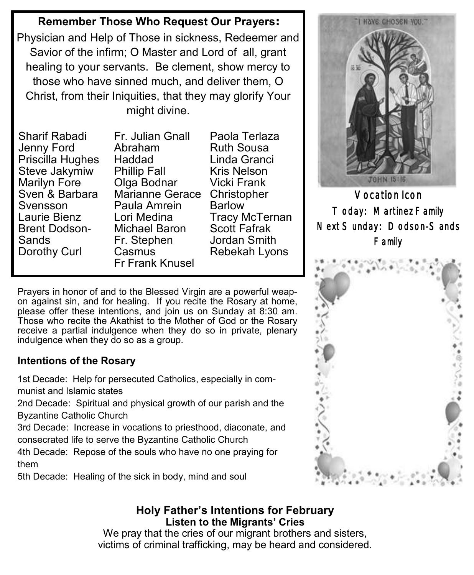## **Remember Those Who Request Our Prayers:**

Physician and Help of Those in sickness, Redeemer and Savior of the infirm; O Master and Lord of all, grant healing to your servants. Be clement, show mercy to those who have sinned much, and deliver them, O Christ, from their Iniquities, that they may glorify Your might divine.

Sharif Rabadi Jenny Ford Priscilla Hughes Steve Jakymiw Marilyn Fore Sven & Barbara Svensson Laurie Bienz Brent Dodson-**Sands** Dorothy Curl

Fr. Julian Gnall Abraham Haddad Phillip Fall Olga Bodnar Marianne Gerace Christopher Paula Amrein Lori Medina Michael Baron Fr. Stephen Casmus Fr Frank Knusel

Paola Terlaza Ruth Sousa Linda Granci Kris Nelson Vicki Frank Barlow Tracy McTernan Scott Fafrak Jordan Smith Rebekah Lyons

Prayers in honor of and to the Blessed Virgin are a powerful weapon against sin, and for healing. If you recite the Rosary at home, please offer these intentions, and join us on Sunday at 8:30 am. Those who recite the Akathist to the Mother of God or the Rosary receive a partial indulgence when they do so in private, plenary indulgence when they do so as a group.

#### **Intentions of the Rosary**

1st Decade: Help for persecuted Catholics, especially in communist and Islamic states

2nd Decade: Spiritual and physical growth of our parish and the Byzantine Catholic Church

3rd Decade: Increase in vocations to priesthood, diaconate, and consecrated life to serve the Byzantine Catholic Church

4th Decade: Repose of the souls who have no one praying for them

5th Decade: Healing of the sick in body, mind and soul

#### **Holy Father's Intentions for February Listen to the Migrants' Cries**

We pray that the cries of our migrant brothers and sisters, victims of criminal trafficking, may be heard and considered.



Vocation Icon Today: Martinez Family Next Sunday: Dodson-Sands Family

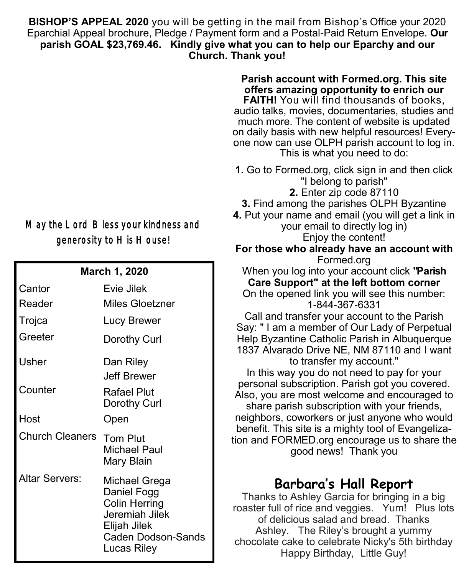**BISHOP'S APPEAL 2020** you will be getting in the mail from Bishop's Office your 2020 Eparchial Appeal brochure, Pledge / Payment form and a Postal-Paid Return Envelope. **Our parish GOAL \$23,769.46. Kindly give what you can to help our Eparchy and our Church. Thank you!**

## May the Lord Bless your kindness and generosity to His House!

| <b>March 1, 2020</b>   |                                                                                                                             |  |  |  |
|------------------------|-----------------------------------------------------------------------------------------------------------------------------|--|--|--|
| Cantor                 | Evie Jilek                                                                                                                  |  |  |  |
| Reader                 | Miles Gloetzner                                                                                                             |  |  |  |
| Trojca                 | Lucy Brewer                                                                                                                 |  |  |  |
| Greeter                | Dorothy Curl                                                                                                                |  |  |  |
| Usher                  | Dan Riley<br>Jeff Brewer                                                                                                    |  |  |  |
| Counter                | Rafael Plut<br>Dorothy Curl                                                                                                 |  |  |  |
| Host                   | Open                                                                                                                        |  |  |  |
| <b>Church Cleaners</b> | Tom Plut<br>Michael Paul<br>Mary Blain                                                                                      |  |  |  |
| Altar Servers:         | Michael Grega<br>Daniel Fogg<br><b>Colin Herring</b><br>Jeremiah Jilek<br>Elijah Jilek<br>Caden Dodson-Sands<br>Lucas Riley |  |  |  |

on daily basis with new helpful resources! Everyone now can use OLPH parish account to log in. This is what you need to do: **1.** Go to Formed.org, click sign in and then click "I belong to parish" **2.** Enter zip code 87110 **3.** Find among the parishes OLPH Byzantine **4.** Put your name and email (you will get a link in your email to directly log in) Enjoy the content! **For those who already have an account with** Formed.org When you log into your account click **"Parish Care Support" at the left bottom corner** On the opened link you will see this number: 1-844-367-6331 Call and transfer your account to the Parish Say: " I am a member of Our Lady of Perpetual Help Byzantine Catholic Parish in Albuquerque 1837 Alvarado Drive NE, NM 87110 and I want to transfer my account." In this way you do not need to pay for your personal subscription. Parish got you covered. Also, you are most welcome and encouraged to share parish subscription with your friends, neighbors, coworkers or just anyone who would benefit. This site is a mighty tool of Evangelization and FORMED.org encourage us to share the good news! Thank you

**Parish account with Formed.org. This site offers amazing opportunity to enrich our FAITH!** You will find thousands of books, audio talks, movies, documentaries, studies and much more. The content of website is updated

## **Barbara's Hall Report**

Thanks to Ashley Garcia for bringing in a big roaster full of rice and veggies. Yum! Plus lots of delicious salad and bread. Thanks Ashley. The Riley's brought a yummy chocolate cake to celebrate Nicky's 5th birthday Happy Birthday, Little Guy!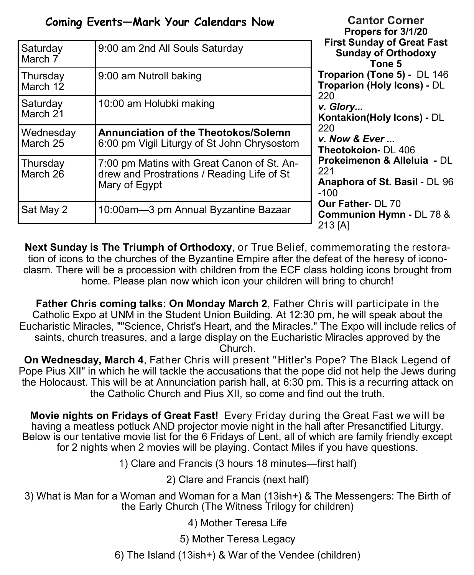|                       | Coming Events-Mark Your Calendars Now                                                                     | <b>Cantor Corner</b><br>Propers for 3/1/20<br><b>First Sunday of Great Fast</b><br><b>Sunday of Orthodoxy</b><br>Tone 5                                     |
|-----------------------|-----------------------------------------------------------------------------------------------------------|-------------------------------------------------------------------------------------------------------------------------------------------------------------|
| Saturday<br>March 7   | 9:00 am 2nd All Souls Saturday                                                                            |                                                                                                                                                             |
| Thursday<br>March 12  | 9:00 am Nutroll baking                                                                                    | Troparion (Tone 5) - DL 146<br><b>Troparion (Holy Icons) - DL</b>                                                                                           |
| Saturday<br>March 21  | 10:00 am Holubki making                                                                                   | 220<br>v. Glory<br>Kontakion(Holy Icons) - DL                                                                                                               |
| Wednesday<br>March 25 | <b>Annunciation of the Theotokos/Solemn</b><br>6:00 pm Vigil Liturgy of St John Chrysostom                | 220<br>v. Now $&$ Ever $$<br>Theotokoion- DL 406                                                                                                            |
| Thursday<br>March 26  | 7:00 pm Matins with Great Canon of St. An-<br>drew and Prostrations / Reading Life of St<br>Mary of Egypt | <b>Prokeimenon &amp; Alleluia - DL</b><br>221<br>Anaphora of St. Basil - DL 96<br>$-100$<br><b>Our Father- DL 70</b><br>Communion Hymn - DL 78 &<br>213 [A] |
| Sat May 2             | 10:00am-3 pm Annual Byzantine Bazaar                                                                      |                                                                                                                                                             |

**Next Sunday is The Triumph of Orthodoxy**, or True Belief, commemorating the restoration of icons to the churches of the Byzantine Empire after the defeat of the heresy of iconoclasm. There will be a procession with children from the ECF class holding icons brought from home. Please plan now which icon your children will bring to church!

**Father Chris coming talks: On Monday March 2**, Father Chris will participate in the Catholic Expo at UNM in the Student Union Building. At 12:30 pm, he will speak about the Eucharistic Miracles, ""Science, Christ's Heart, and the Miracles." The Expo will include relics of saints, church treasures, and a large display on the Eucharistic Miracles approved by the Church.

**On Wednesday, March 4**, Father Chris will present "Hitler's Pope? The Black Legend of Pope Pius XII" in which he will tackle the accusations that the pope did not help the Jews during the Holocaust. This will be at Annunciation parish hall, at 6:30 pm. This is a recurring attack on the Catholic Church and Pius XII, so come and find out the truth.

**Movie nights on Fridays of Great Fast!** Every Friday during the Great Fast we will be having a meatless potluck AND projector movie night in the hall after Presanctified Liturgy. Below is our tentative movie list for the 6 Fridays of Lent, all of which are family friendly except for 2 nights when 2 movies will be playing. Contact Miles if you have questions.

1) Clare and Francis (3 hours 18 minutes—first half)

2) Clare and Francis (next half)

3) What is Man for a Woman and Woman for a Man (13ish+) & The Messengers: The Birth of the Early Church (The Witness Trilogy for children)

4) Mother Teresa Life

5) Mother Teresa Legacy

6) The Island (13ish+) & War of the Vendee (children)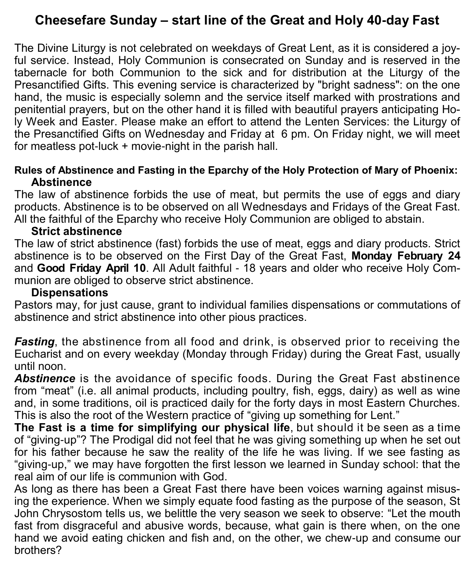# **Cheesefare Sunday – start line of the Great and Holy 40-day Fast**

The Divine Liturgy is not celebrated on weekdays of Great Lent, as it is considered a joyful service. Instead, Holy Communion is consecrated on Sunday and is reserved in the tabernacle for both Communion to the sick and for distribution at the Liturgy of the Presanctified Gifts. This evening service is characterized by "bright sadness": on the one hand, the music is especially solemn and the service itself marked with prostrations and penitential prayers, but on the other hand it is filled with beautiful prayers anticipating Holy Week and Easter. Please make an effort to attend the Lenten Services: the Liturgy of the Presanctified Gifts on Wednesday and Friday at 6 pm. On Friday night, we will meet for meatless pot-luck + movie-night in the parish hall.

#### **Rules of Abstinence and Fasting in the Eparchy of the Holy Protection of Mary of Phoenix: Abstinence**

The law of abstinence forbids the use of meat, but permits the use of eggs and diary products. Abstinence is to be observed on all Wednesdays and Fridays of the Great Fast. All the faithful of the Eparchy who receive Holy Communion are obliged to abstain.

#### **Strict abstinence**

The law of strict abstinence (fast) forbids the use of meat, eggs and diary products. Strict abstinence is to be observed on the First Day of the Great Fast, **Monday February 24** and **Good Friday April 10**. All Adult faithful - 18 years and older who receive Holy Communion are obliged to observe strict abstinence.

#### **Dispensations**

Pastors may, for just cause, grant to individual families dispensations or commutations of abstinence and strict abstinence into other pious practices.

*Fasting*, the abstinence from all food and drink, is observed prior to receiving the Eucharist and on every weekday (Monday through Friday) during the Great Fast, usually until noon.

*Abstinence* is the avoidance of specific foods. During the Great Fast abstinence from "meat" (i.e. all animal products, including poultry, fish, eggs, dairy) as well as wine and, in some traditions, oil is practiced daily for the forty days in most Eastern Churches. This is also the root of the Western practice of "giving up something for Lent."

**The Fast is a time for simplifying our physical life**, but should it be seen as a time of "giving-up"? The Prodigal did not feel that he was giving something up when he set out for his father because he saw the reality of the life he was living. If we see fasting as "giving-up," we may have forgotten the first lesson we learned in Sunday school: that the real aim of our life is communion with God.

As long as there has been a Great Fast there have been voices warning against misusing the experience. When we simply equate food fasting as the purpose of the season, St John Chrysostom tells us, we belittle the very season we seek to observe: "Let the mouth fast from disgraceful and abusive words, because, what gain is there when, on the one hand we avoid eating chicken and fish and, on the other, we chew-up and consume our brothers?